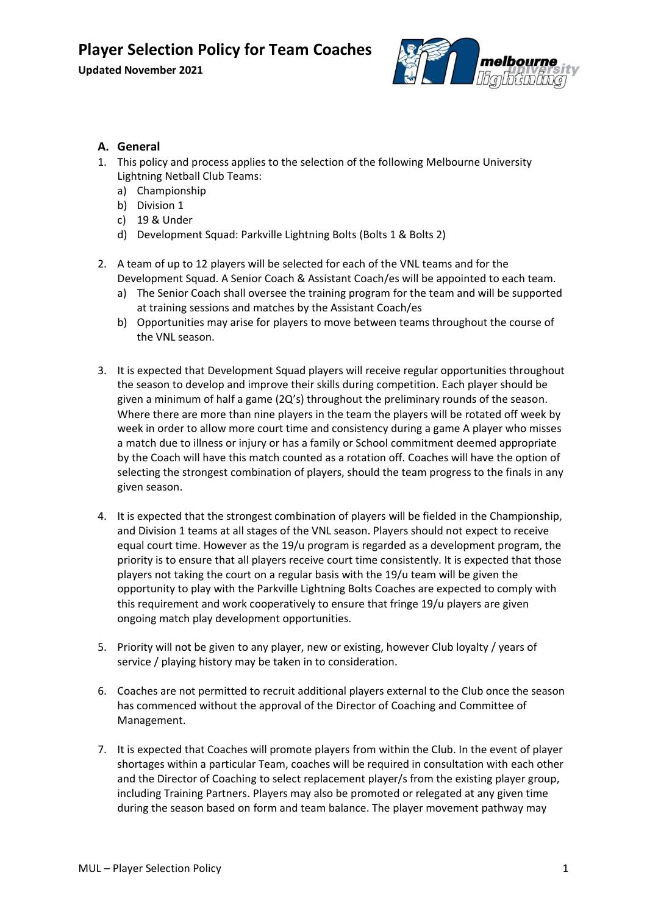

# **A. General**

- 1. This policy and process applies to the selection of the following Melbourne University Lightning Netball Club Teams:
	- a) Championship
	- b) Division 1
	- c) 19 & Under
	- d) Development Squad: Parkville Lightning Bolts (Bolts 1 & Bolts 2)
- 2. A team of up to 12 players will be selected for each of the VNL teams and for the Development Squad. A Senior Coach & Assistant Coach/es will be appointed to each team.
	- a) The Senior Coach shall oversee the training program for the team and will be supported at training sessions and matches by the Assistant Coach/es
	- b) Opportunities may arise for players to move between teams throughout the course of the VNL season.
- 3. It is expected that Development Squad players will receive regular opportunities throughout the season to develop and improve their skills during competition. Each player should be given a minimum of half a game (2Q's) throughout the preliminary rounds of the season. Where there are more than nine players in the team the players will be rotated off week by week in order to allow more court time and consistency during a game A player who misses a match due to illness or injury or has a family or School commitment deemed appropriate by the Coach will have this match counted as a rotation off. Coaches will have the option of selecting the strongest combination of players, should the team progress to the finals in any given season.
- 4. It is expected that the strongest combination of players will be fielded in the Championship, and Division 1 teams at all stages of the VNL season. Players should not expect to receive equal court time. However as the 19/u program is regarded as a development program, the priority is to ensure that all players receive court time consistently. It is expected that those players not taking the court on a regular basis with the 19/u team will be given the opportunity to play with the Parkville Lightning Bolts Coaches are expected to comply with this requirement and work cooperatively to ensure that fringe 19/u players are given ongoing match play development opportunities.
- 5. Priority will not be given to any player, new or existing, however Club loyalty / years of service / playing history may be taken in to consideration.
- 6. Coaches are not permitted to recruit additional players external to the Club once the season has commenced without the approval of the Director of Coaching and Committee of Management.
- 7. It is expected that Coaches will promote players from within the Club. In the event of player shortages within a particular Team, coaches will be required in consultation with each other and the Director of Coaching to select replacement player/s from the existing player group, including Training Partners. Players may also be promoted or relegated at any given time during the season based on form and team balance. The player movement pathway may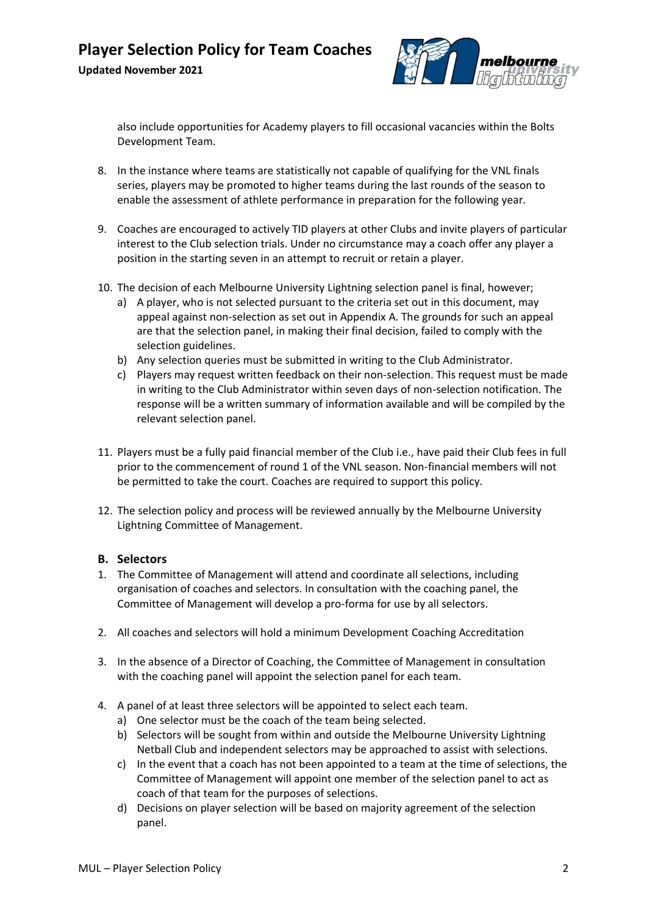

also include opportunities for Academy players to fill occasional vacancies within the Bolts Development Team.

- 8. In the instance where teams are statistically not capable of qualifying for the VNL finals series, players may be promoted to higher teams during the last rounds of the season to enable the assessment of athlete performance in preparation for the following year.
- 9. Coaches are encouraged to actively TID players at other Clubs and invite players of particular interest to the Club selection trials. Under no circumstance may a coach offer any player a position in the starting seven in an attempt to recruit or retain a player.
- 10. The decision of each Melbourne University Lightning selection panel is final, however;
	- a) A player, who is not selected pursuant to the criteria set out in this document, may appeal against non-selection as set out in Appendix A. The grounds for such an appeal are that the selection panel, in making their final decision, failed to comply with the selection guidelines.
	- b) Any selection queries must be submitted in writing to the Club Administrator.
	- c) Players may request written feedback on their non-selection. This request must be made in writing to the Club Administrator within seven days of non-selection notification. The response will be a written summary of information available and will be compiled by the relevant selection panel.
- 11. Players must be a fully paid financial member of the Club i.e., have paid their Club fees in full prior to the commencement of round 1 of the VNL season. Non-financial members will not be permitted to take the court. Coaches are required to support this policy.
- 12. The selection policy and process will be reviewed annually by the Melbourne University Lightning Committee of Management.

### **B. Selectors**

- 1. The Committee of Management will attend and coordinate all selections, including organisation of coaches and selectors. In consultation with the coaching panel, the Committee of Management will develop a pro-forma for use by all selectors.
- 2. All coaches and selectors will hold a minimum Development Coaching Accreditation
- 3. In the absence of a Director of Coaching, the Committee of Management in consultation with the coaching panel will appoint the selection panel for each team.
- 4. A panel of at least three selectors will be appointed to select each team.
	- a) One selector must be the coach of the team being selected.
	- b) Selectors will be sought from within and outside the Melbourne University Lightning Netball Club and independent selectors may be approached to assist with selections.
	- c) In the event that a coach has not been appointed to a team at the time of selections, the Committee of Management will appoint one member of the selection panel to act as coach of that team for the purposes of selections.
	- d) Decisions on player selection will be based on majority agreement of the selection panel.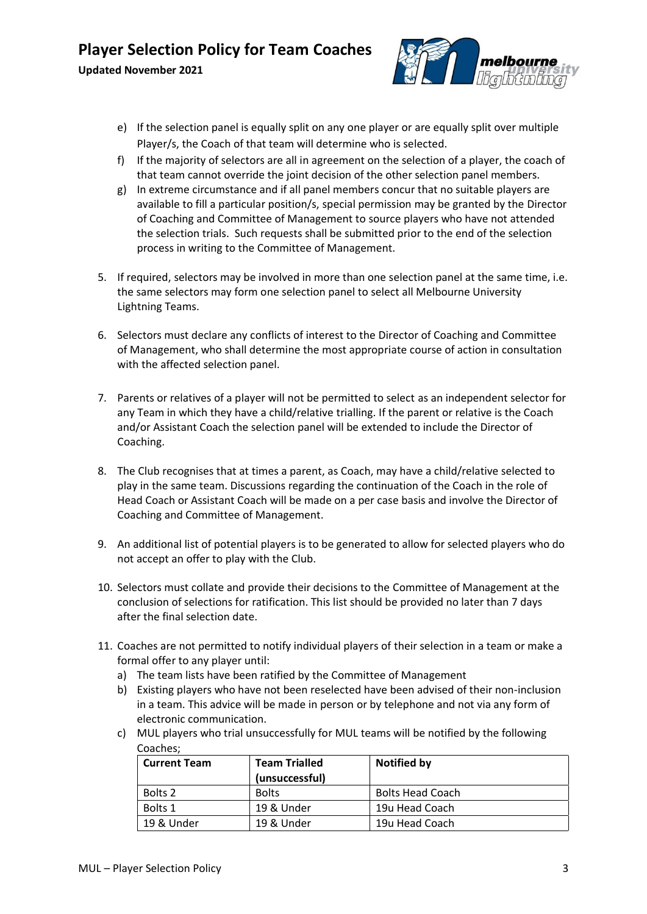

- e) If the selection panel is equally split on any one player or are equally split over multiple Player/s, the Coach of that team will determine who is selected.
- f) If the majority of selectors are all in agreement on the selection of a player, the coach of that team cannot override the joint decision of the other selection panel members.
- g) In extreme circumstance and if all panel members concur that no suitable players are available to fill a particular position/s, special permission may be granted by the Director of Coaching and Committee of Management to source players who have not attended the selection trials. Such requests shall be submitted prior to the end of the selection process in writing to the Committee of Management.
- 5. If required, selectors may be involved in more than one selection panel at the same time, i.e. the same selectors may form one selection panel to select all Melbourne University Lightning Teams.
- 6. Selectors must declare any conflicts of interest to the Director of Coaching and Committee of Management, who shall determine the most appropriate course of action in consultation with the affected selection panel.
- 7. Parents or relatives of a player will not be permitted to select as an independent selector for any Team in which they have a child/relative trialling. If the parent or relative is the Coach and/or Assistant Coach the selection panel will be extended to include the Director of Coaching.
- 8. The Club recognises that at times a parent, as Coach, may have a child/relative selected to play in the same team. Discussions regarding the continuation of the Coach in the role of Head Coach or Assistant Coach will be made on a per case basis and involve the Director of Coaching and Committee of Management.
- 9. An additional list of potential players is to be generated to allow for selected players who do not accept an offer to play with the Club.
- 10. Selectors must collate and provide their decisions to the Committee of Management at the conclusion of selections for ratification. This list should be provided no later than 7 days after the final selection date.
- 11. Coaches are not permitted to notify individual players of their selection in a team or make a formal offer to any player until:
	- a) The team lists have been ratified by the Committee of Management
	- b) Existing players who have not been reselected have been advised of their non-inclusion in a team. This advice will be made in person or by telephone and not via any form of electronic communication.
	- c) MUL players who trial unsuccessfully for MUL teams will be notified by the following Coaches;

| <b>Current Team</b> | <b>Team Trialled</b><br>(unsuccessful) | Notified by             |
|---------------------|----------------------------------------|-------------------------|
| Bolts 2             | <b>Bolts</b>                           | <b>Bolts Head Coach</b> |
| Bolts 1             | 19 & Under                             | 19u Head Coach          |
| 19 & Under          | 19 & Under                             | 19u Head Coach          |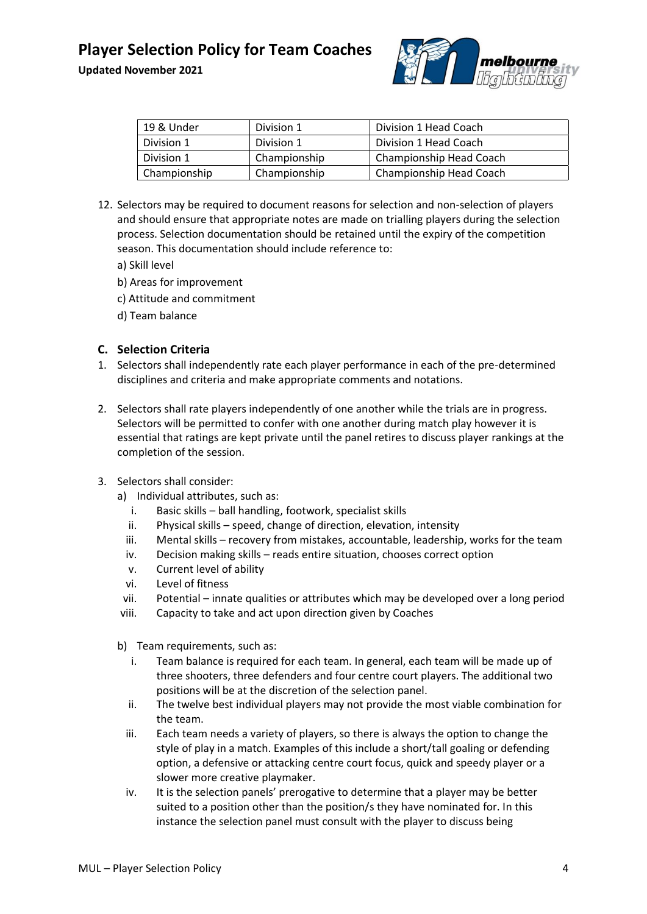

| 19 & Under   | Division 1   | Division 1 Head Coach   |
|--------------|--------------|-------------------------|
| Division 1   | Division 1   | Division 1 Head Coach   |
| Division 1   | Championship | Championship Head Coach |
| Championship | Championship | Championship Head Coach |

- 12. Selectors may be required to document reasons for selection and non-selection of players and should ensure that appropriate notes are made on trialling players during the selection process. Selection documentation should be retained until the expiry of the competition season. This documentation should include reference to:
	- a) Skill level
	- b) Areas for improvement
	- c) Attitude and commitment
	- d) Team balance

### **C. Selection Criteria**

- 1. Selectors shall independently rate each player performance in each of the pre-determined disciplines and criteria and make appropriate comments and notations.
- 2. Selectors shall rate players independently of one another while the trials are in progress. Selectors will be permitted to confer with one another during match play however it is essential that ratings are kept private until the panel retires to discuss player rankings at the completion of the session.

### 3. Selectors shall consider:

- a) Individual attributes, such as:
	- i. Basic skills ball handling, footwork, specialist skills
	- ii. Physical skills speed, change of direction, elevation, intensity
	- iii. Mental skills recovery from mistakes, accountable, leadership, works for the team
	- iv. Decision making skills reads entire situation, chooses correct option
	- v. Current level of ability
	- vi. Level of fitness
- vii. Potential innate qualities or attributes which may be developed over a long period
- viii. Capacity to take and act upon direction given by Coaches
- b) Team requirements, such as:
	- i. Team balance is required for each team. In general, each team will be made up of three shooters, three defenders and four centre court players. The additional two positions will be at the discretion of the selection panel.
	- ii. The twelve best individual players may not provide the most viable combination for the team.
	- iii. Each team needs a variety of players, so there is always the option to change the style of play in a match. Examples of this include a short/tall goaling or defending option, a defensive or attacking centre court focus, quick and speedy player or a slower more creative playmaker.
	- iv. It is the selection panels' prerogative to determine that a player may be better suited to a position other than the position/s they have nominated for. In this instance the selection panel must consult with the player to discuss being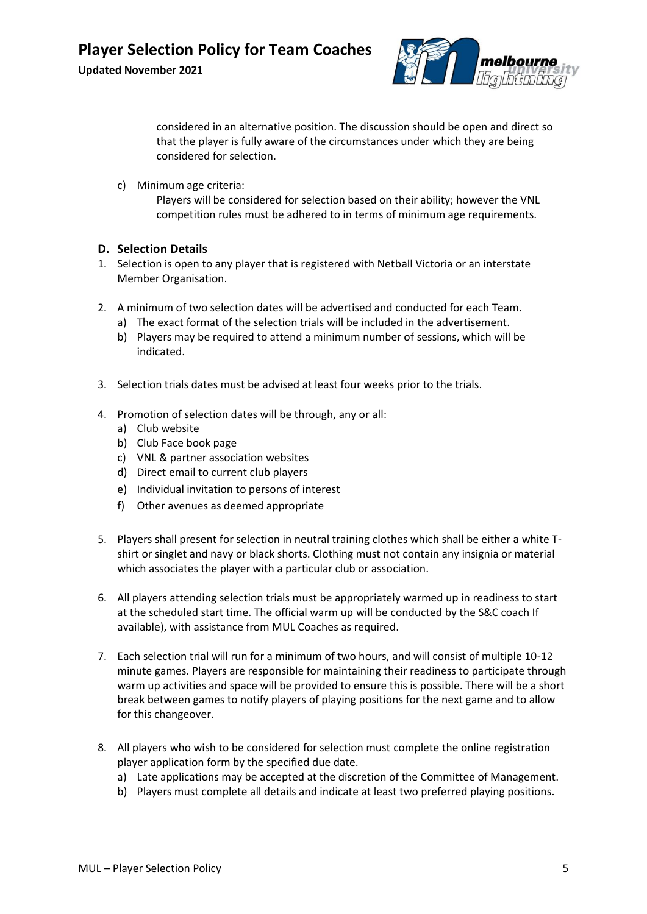

considered in an alternative position. The discussion should be open and direct so that the player is fully aware of the circumstances under which they are being considered for selection.

c) Minimum age criteria:

Players will be considered for selection based on their ability; however the VNL competition rules must be adhered to in terms of minimum age requirements.

### **D. Selection Details**

- 1. Selection is open to any player that is registered with Netball Victoria or an interstate Member Organisation.
- 2. A minimum of two selection dates will be advertised and conducted for each Team.
	- a) The exact format of the selection trials will be included in the advertisement.
	- b) Players may be required to attend a minimum number of sessions, which will be indicated.
- 3. Selection trials dates must be advised at least four weeks prior to the trials.
- 4. Promotion of selection dates will be through, any or all:
	- a) Club website
	- b) Club Face book page
	- c) VNL & partner association websites
	- d) Direct email to current club players
	- e) Individual invitation to persons of interest
	- f) Other avenues as deemed appropriate
- 5. Players shall present for selection in neutral training clothes which shall be either a white Tshirt or singlet and navy or black shorts. Clothing must not contain any insignia or material which associates the player with a particular club or association.
- 6. All players attending selection trials must be appropriately warmed up in readiness to start at the scheduled start time. The official warm up will be conducted by the S&C coach If available), with assistance from MUL Coaches as required.
- 7. Each selection trial will run for a minimum of two hours, and will consist of multiple 10-12 minute games. Players are responsible for maintaining their readiness to participate through warm up activities and space will be provided to ensure this is possible. There will be a short break between games to notify players of playing positions for the next game and to allow for this changeover.
- 8. All players who wish to be considered for selection must complete the online registration player application form by the specified due date.
	- a) Late applications may be accepted at the discretion of the Committee of Management.
	- b) Players must complete all details and indicate at least two preferred playing positions.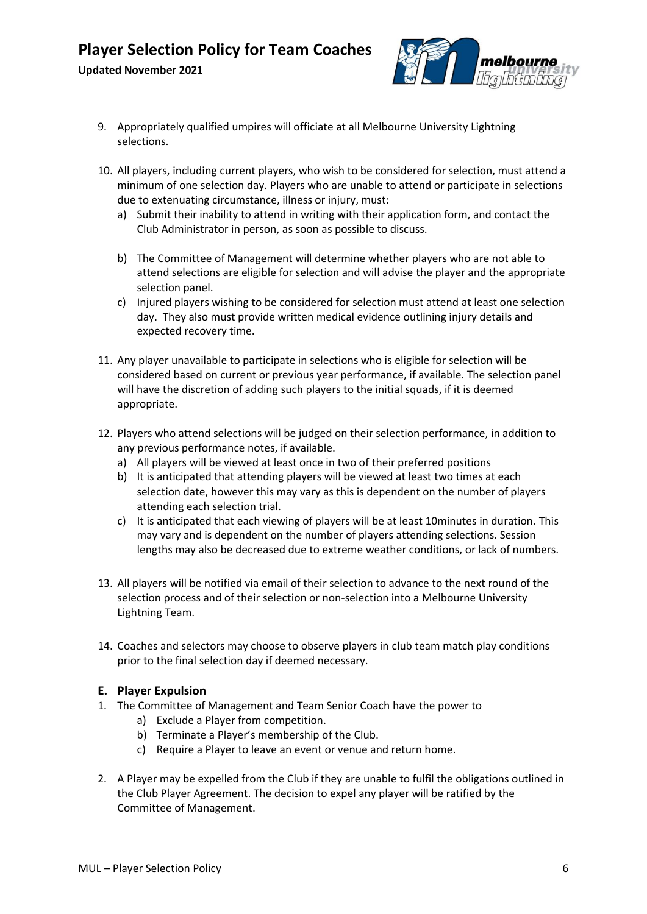

- 9. Appropriately qualified umpires will officiate at all Melbourne University Lightning selections.
- 10. All players, including current players, who wish to be considered for selection, must attend a minimum of one selection day. Players who are unable to attend or participate in selections due to extenuating circumstance, illness or injury, must:
	- a) Submit their inability to attend in writing with their application form, and contact the Club Administrator in person, as soon as possible to discuss.
	- b) The Committee of Management will determine whether players who are not able to attend selections are eligible for selection and will advise the player and the appropriate selection panel.
	- c) Injured players wishing to be considered for selection must attend at least one selection day. They also must provide written medical evidence outlining injury details and expected recovery time.
- 11. Any player unavailable to participate in selections who is eligible for selection will be considered based on current or previous year performance, if available. The selection panel will have the discretion of adding such players to the initial squads, if it is deemed appropriate.
- 12. Players who attend selections will be judged on their selection performance, in addition to any previous performance notes, if available.
	- a) All players will be viewed at least once in two of their preferred positions
	- b) It is anticipated that attending players will be viewed at least two times at each selection date, however this may vary as this is dependent on the number of players attending each selection trial.
	- c) It is anticipated that each viewing of players will be at least 10minutes in duration. This may vary and is dependent on the number of players attending selections. Session lengths may also be decreased due to extreme weather conditions, or lack of numbers.
- 13. All players will be notified via email of their selection to advance to the next round of the selection process and of their selection or non-selection into a Melbourne University Lightning Team.
- 14. Coaches and selectors may choose to observe players in club team match play conditions prior to the final selection day if deemed necessary.

### **E. Player Expulsion**

- 1. The Committee of Management and Team Senior Coach have the power to
	- a) Exclude a Player from competition.
	- b) Terminate a Player's membership of the Club.
	- c) Require a Player to leave an event or venue and return home.
- 2. A Player may be expelled from the Club if they are unable to fulfil the obligations outlined in the Club Player Agreement. The decision to expel any player will be ratified by the Committee of Management.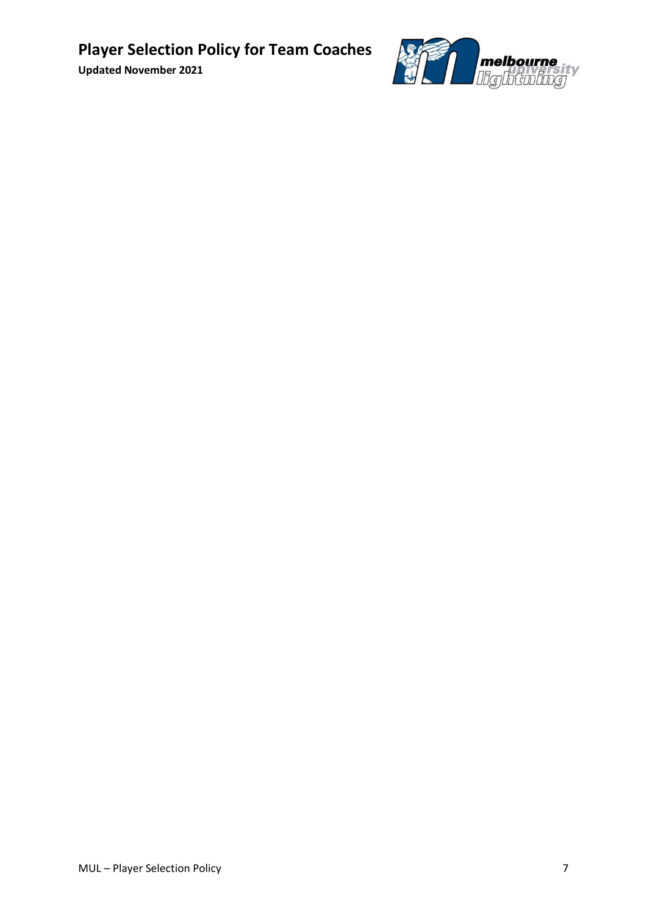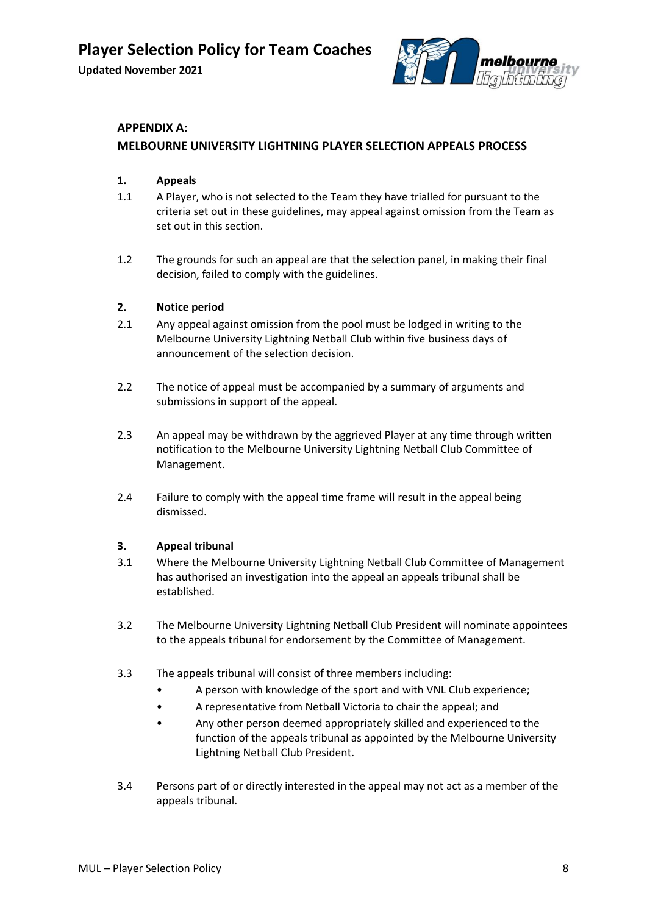

## **APPENDIX A:**

# **MELBOURNE UNIVERSITY LIGHTNING PLAYER SELECTION APPEALS PROCESS**

### **1. Appeals**

- 1.1 A Player, who is not selected to the Team they have trialled for pursuant to the criteria set out in these guidelines, may appeal against omission from the Team as set out in this section.
- 1.2 The grounds for such an appeal are that the selection panel, in making their final decision, failed to comply with the guidelines.

### **2. Notice period**

- 2.1 Any appeal against omission from the pool must be lodged in writing to the Melbourne University Lightning Netball Club within five business days of announcement of the selection decision.
- 2.2 The notice of appeal must be accompanied by a summary of arguments and submissions in support of the appeal.
- 2.3 An appeal may be withdrawn by the aggrieved Player at any time through written notification to the Melbourne University Lightning Netball Club Committee of Management.
- 2.4 Failure to comply with the appeal time frame will result in the appeal being dismissed.

### **3. Appeal tribunal**

- 3.1 Where the Melbourne University Lightning Netball Club Committee of Management has authorised an investigation into the appeal an appeals tribunal shall be established.
- 3.2 The Melbourne University Lightning Netball Club President will nominate appointees to the appeals tribunal for endorsement by the Committee of Management.
- 3.3 The appeals tribunal will consist of three members including:
	- A person with knowledge of the sport and with VNL Club experience;
	- A representative from Netball Victoria to chair the appeal; and
	- Any other person deemed appropriately skilled and experienced to the function of the appeals tribunal as appointed by the Melbourne University Lightning Netball Club President.
- 3.4 Persons part of or directly interested in the appeal may not act as a member of the appeals tribunal.